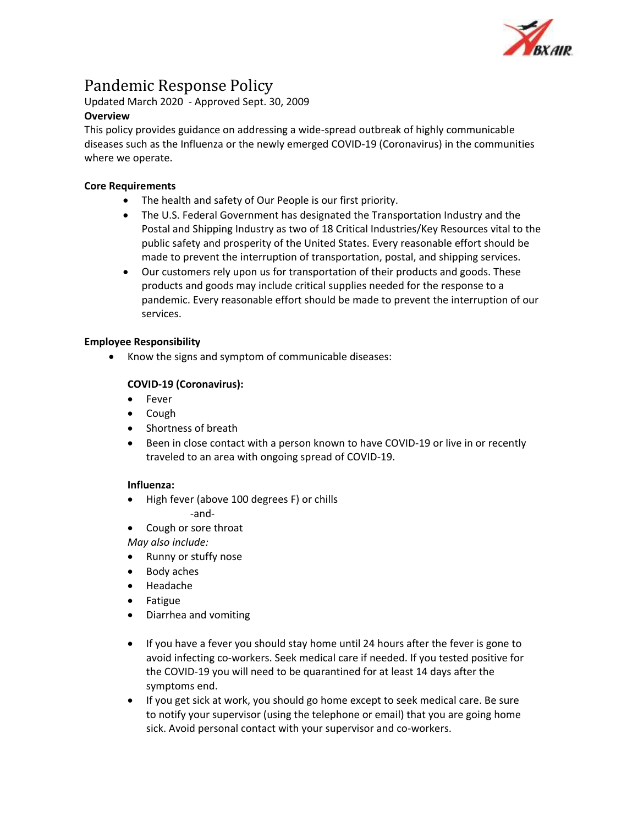

# Pandemic Response Policy

Updated March 2020 - Approved Sept. 30, 2009

## **Overview**

This policy provides guidance on addressing a wide-spread outbreak of highly communicable diseases such as the Influenza or the newly emerged COVID-19 (Coronavirus) in the communities where we operate.

## **Core Requirements**

- The health and safety of Our People is our first priority.
- The U.S. Federal Government has designated the Transportation Industry and the Postal and Shipping Industry as two of 18 Critical Industries/Key Resources vital to the public safety and prosperity of the United States. Every reasonable effort should be made to prevent the interruption of transportation, postal, and shipping services.
- Our customers rely upon us for transportation of their products and goods. These products and goods may include critical supplies needed for the response to a pandemic. Every reasonable effort should be made to prevent the interruption of our services.

## **Employee Responsibility**

• Know the signs and symptom of communicable diseases:

## **COVID-19 (Coronavirus):**

- Fever
- Cough
- Shortness of breath
- Been in close contact with a person known to have COVID-19 or live in or recently traveled to an area with ongoing spread of COVID-19.

#### **Influenza:**

- High fever (above 100 degrees F) or chills -and-
- Cough or sore throat

*May also include:*

- Runny or stuffy nose
- Body aches
- Headache
- Fatigue
- Diarrhea and vomiting
- If you have a fever you should stay home until 24 hours after the fever is gone to avoid infecting co-workers. Seek medical care if needed. If you tested positive for the COVID-19 you will need to be quarantined for at least 14 days after the symptoms end.
- If you get sick at work, you should go home except to seek medical care. Be sure to notify your supervisor (using the telephone or email) that you are going home sick. Avoid personal contact with your supervisor and co-workers.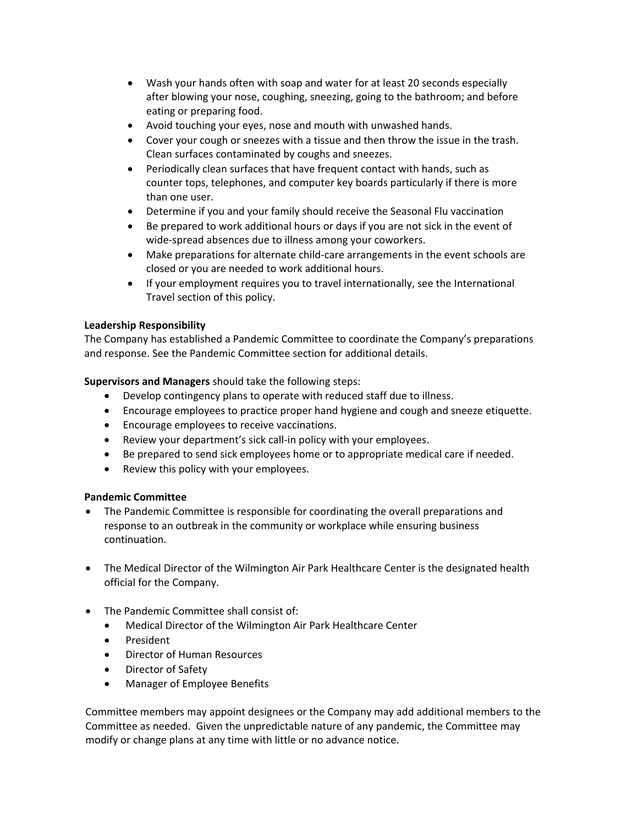- Wash your hands often with soap and water for at least 20 seconds especially after blowing your nose, coughing, sneezing, going to the bathroom; and before eating or preparing food.
- Avoid touching your eyes, nose and mouth with unwashed hands.
- Cover your cough or sneezes with a tissue and then throw the issue in the trash. Clean surfaces contaminated by coughs and sneezes.
- Periodically clean surfaces that have frequent contact with hands, such as counter tops, telephones, and computer key boards particularly if there is more than one user.
- Determine if you and your family should receive the Seasonal Flu vaccination
- Be prepared to work additional hours or days if you are not sick in the event of wide-spread absences due to illness among your coworkers.
- Make preparations for alternate child-care arrangements in the event schools are closed or you are needed to work additional hours.
- If your employment requires you to travel internationally, see the International Travel section of this policy.

### **Leadership Responsibility**

The Company has established a Pandemic Committee to coordinate the Company's preparations and response. See the Pandemic Committee section for additional details.

**Supervisors and Managers** should take the following steps:

- Develop contingency plans to operate with reduced staff due to illness.
- Encourage employees to practice proper hand hygiene and cough and sneeze etiquette.
- Encourage employees to receive vaccinations.
- Review your department's sick call-in policy with your employees.
- Be prepared to send sick employees home or to appropriate medical care if needed.
- Review this policy with your employees.

#### **Pandemic Committee**

- The Pandemic Committee is responsible for coordinating the overall preparations and response to an outbreak in the community or workplace while ensuring business continuation.
- The Medical Director of the Wilmington Air Park Healthcare Center is the designated health official for the Company.
- The Pandemic Committee shall consist of:
	- Medical Director of the Wilmington Air Park Healthcare Center
	- President
	- Director of Human Resources
	- Director of Safety
	- Manager of Employee Benefits

Committee members may appoint designees or the Company may add additional members to the Committee as needed. Given the unpredictable nature of any pandemic, the Committee may modify or change plans at any time with little or no advance notice.